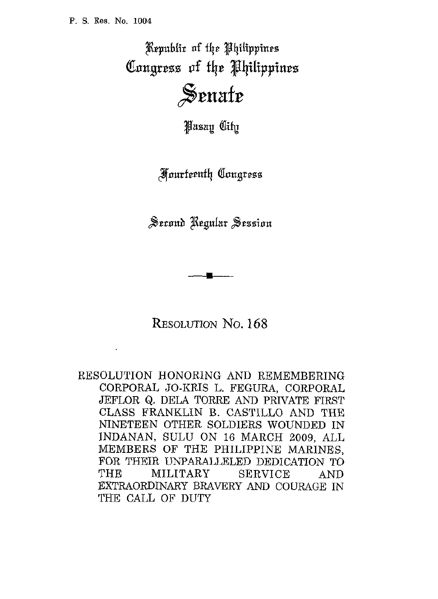Republic of the Philippines Congress of the Philippines Senate

**Pasan City** 

**Hourteenth Congress** 

 $v_{\text{c}}$ 

*RESOLUTION* No. 168

RESOLUTION HONORING AND REMEMBERING CORPORAL JO-KRIS L. FEGURA, CORPORAL JEFLOR Q. DELA TORRE AND PRIVATE FIRST CLASS FRANKLIN B. CASTILLO AND THE NINETEEN OTHER SOLDIERS WOUNDED IN INDANAN, SULU ON 16 MARCH 2009, ALL MEMBERS OF THE PHILIPPINE MARINES, FOR THEIR UNPARALLELED DEDICATION TO THE MILITARY SERVICE AND EXTRAORDINARY BRAVERY *AND* COURAGE IN THE CALL OF DUTY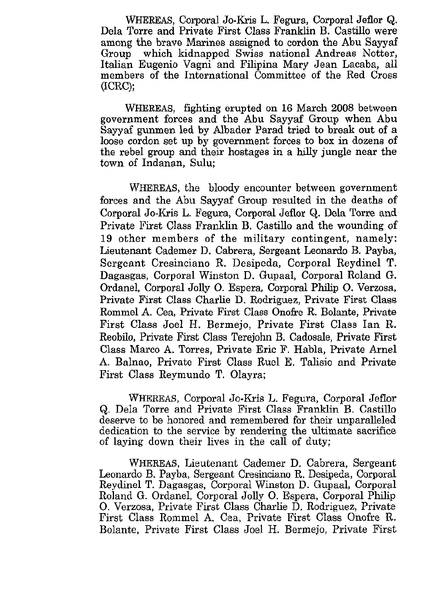WHEREAS, Corporal Jo-Kris L. Fegura, Corporal Jeflor Q. Dela Torre and Private First Class Franklin B. Castillo were among the brave Marines assigned to cordon the Abu Sayyaf which kidnapped Swiss national Andreas Notter, Italian Eugenio Vagni and Filipina Mary Jean Lacaba, all members of the International Committee of the Red Cross (ICRC);

WHEREAS, fighting erupted on 16 March 2008 between government forces and the Abu Sayyaf Group when Abu Sayyaf gunmen led by Albader Parad tried to break out of a loose cordon set up by government forces to box in dozens of the rebel group and their hostages in a hiUy jungle near the town of Indanan, Sulu;

WHEREAS, the bloody encounter between government forces and the Abu Sayyaf Group resulted in the deaths of Corporal Jo-Kris L. Fegura, Corporal Jeflor Q. Dela Torre and Private First Class Franklin B. Castillo and the wounding of **19** other members of the military contingent, namely: Lieutenant Cademer D. Cabrera, Sergeant Leonard0 B. Payba, Sergeant Cresinciano R. Desipeda, Corporal Reydinel T. Dagasgas, Corporal Winston D. Gupaal, Corporal Roland G. Ordanel, Corporal Jolly 0. Espera, Corporal Philip 0. Verzosa, Private First Class Charlie D. Rodriguez, Private First Class Rommel A. Cea, Private First Class Onofre R. Bolante, Private First Class Joel H. Bermejo, Private First Class Ian R. Reobilo, Private First Class Terejohn B. Cadosale, Private First Class Marco A. Torres, Private Eric F. Habla, Private Arne1 **A.** Balnao, Private First Class Rue1 E. Talisio and Private First Class Reymundo T. Olayra;

WHEREAS, Corporal Jo-Kris L. Fegura, Corporal Jeflor Q. Dela Torre and Private First Class Franklin B. Castillo deserve to be honored and remembered for their unparalleled dedication to the service by rendering the ultimate sacrifice of laying down their lives in the call of duty;

WHEREAS, Lieutenant Cademer D. Cabrera, Sergeant Leonard0 B. Payba, Sergeant Cresinciano R. Desipeda, Corporal Fkydinel T. Dagasgas, Corporal Winston D. Gupaal, Corporal Roland G. Ordanel, Corporal Jolly 0. Espera, Corporal Philip 0. Verzosa, Private First Class Charlie D. Rodriguez, Private First Class Rommel **A.** Cea, Private First Class Onofre E. Bolante, Private First Class Joel H. Bermejo, Private First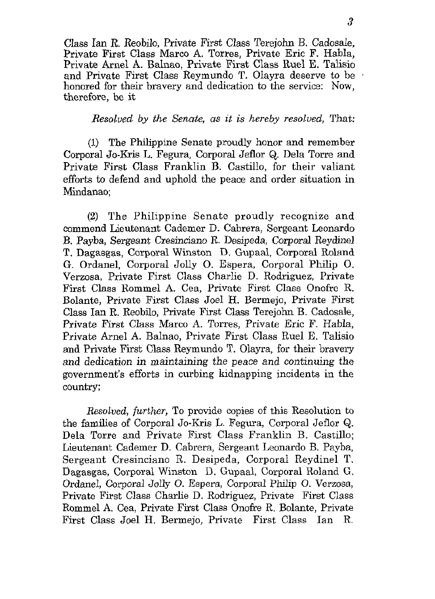Class Ian R. Reobilo, Private First Class Terejohn B. Cadosale, Private First Class Marco **A.** Torres, Private Eric F. Habla, Private Arnel **A.** Balnao, Private First Class Ruel E. Talisio and Private First Class Reymundo T. Olayra deserve to be honored for their bravery and dedication to the service: Now, therefore, be it

*Resolved by the Senate, as it is hereby resolved,* That:

**(1)** The Philippine Senate proudly honor and remember Corporal Jo-Kris L. Fegura, Corporal Jeflor Q. Dela Torre and Private First Class Franklin B. Castillo, for their valiant efforts *to* defend and uphold the peace and order situation in Mindanao;

**(2)** The Philippine Senate proudly recognize and commend Lieutenant Cademer D. Cabrera, Sergeant Leonardo B. Payba, Sergeant Cresinciano R. Desipeda, Corporal Reydinel T. Dagasgas, Corporal Winston D. Gupaal, Corporal Roland G. Ordanel, Corporal Jolly *0.* Espera, Corporal Philip 0. Verzosa, Private First Class Charlie D. Rodriguez, Private First Class Rommel **A.** Cea, Private First Class Onofre R. Bolante, Private First Class Joel H. Bermejo, Private First Class Ian R. Reobilo, Private First Class Terejohn B. Cadosale, Private First Class Marco **A.** Torres, Private Eric F. Habla, Private Arnel **A.** Balnao, Private First Class Ruel E. Talisio and Private First Class Reymundo T. Olayra, for their bravery and dedication in maintaining the peace and continuing the government's efforts in curbing kidnapping incidents in the country;

*Resolved, further,* To provide copies of this Resolution to the families of Corporal Jo-Kris L. Fegura, Corporal Jeflor Q. Dela Torre and Private First Class Franklin B. Castillo; Lieutenant Cademer D. Cabrera, Sergeant Leonardo B. Payba, Sergeant Cresinciano R. Desipeda, Corporal Reydinel T. Dagasgas, Corporal Winston D. Gupaal, Corporal Roland G. Ordanel, Corporal Jolly 0. Espera, Corporal Philip *0.* Verzosa, Private First Class Charlie D. Rodriguez, Private First Class Rommel **A.** Cea, Private First Class Onofie R. Bolante, Private First Class Joel H. Bermejo, Private First Class Ian R.